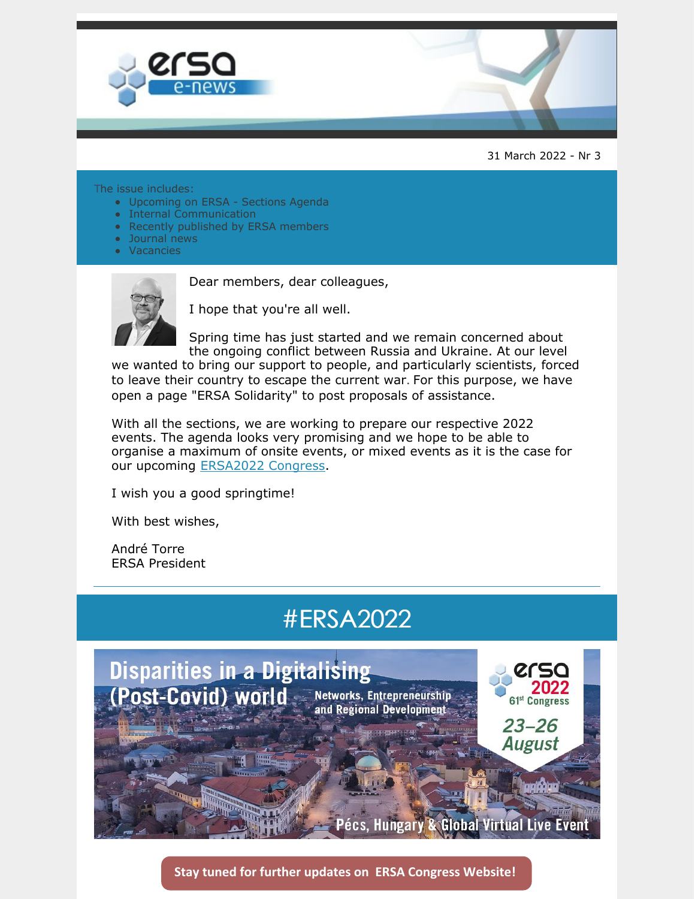

31 March 2022 - Nr 3

#### The issue includes:

- Upcoming on ERSA Sections Agenda
- Internal Communication
- Recently published by ERSA members
- Journal news
- **Vacancies**



Dear members, dear colleagues,

I hope that you're all well.

Spring time has just started and we remain concerned about the ongoing conflict between Russia and Ukraine. At our level

we wanted to bring our support to people, and particularly scientists, forced to leave their country to escape the current war. For this purpose, we have open a page "ERSA Solidarity" to post proposals of assistance.

With all the sections, we are working to prepare our respective 2022 events. The agenda looks very promising and we hope to be able to organise a maximum of onsite events, or mixed events as it is the case for our upcoming [ERSA2022](https://ersa.eventsair.com/ersa2022/) Congress.

I wish you a good springtime!

With best wishes,

André Torre ERSA President

## #ERSA2022



**Stay tuned for further updates on ERSA Congress [Website!](https://ersa.eventsair.com/ersa2022/)**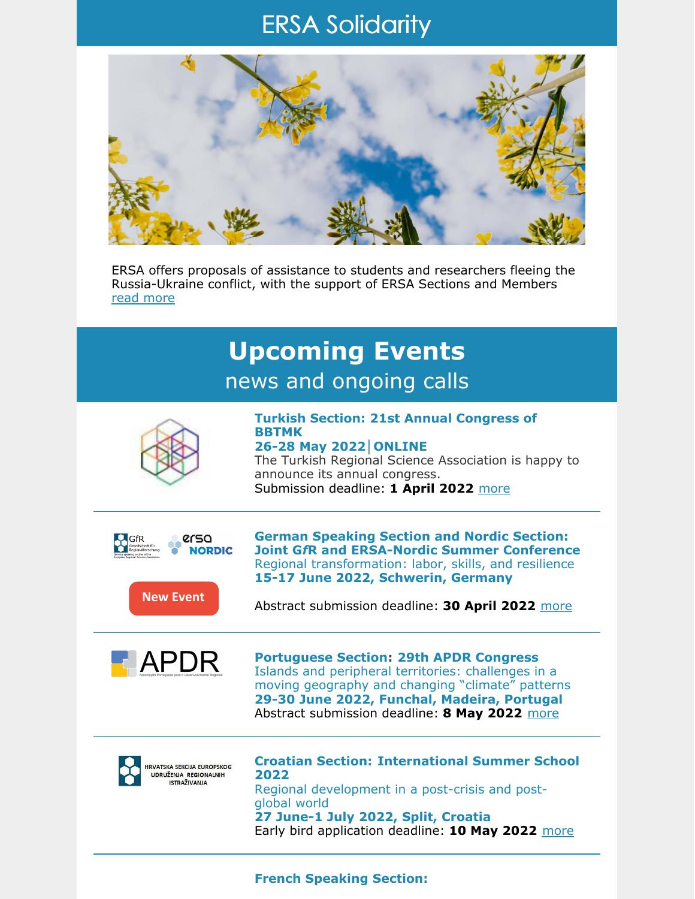## ERSA Solidarity



ERSA offers proposals of assistance to students and researchers fleeing the Russia-Ukraine conflict, with the support of ERSA Sections and Members read [more](https://ersa.org/ersa-solidarity/)



#### **French Speaking Section:**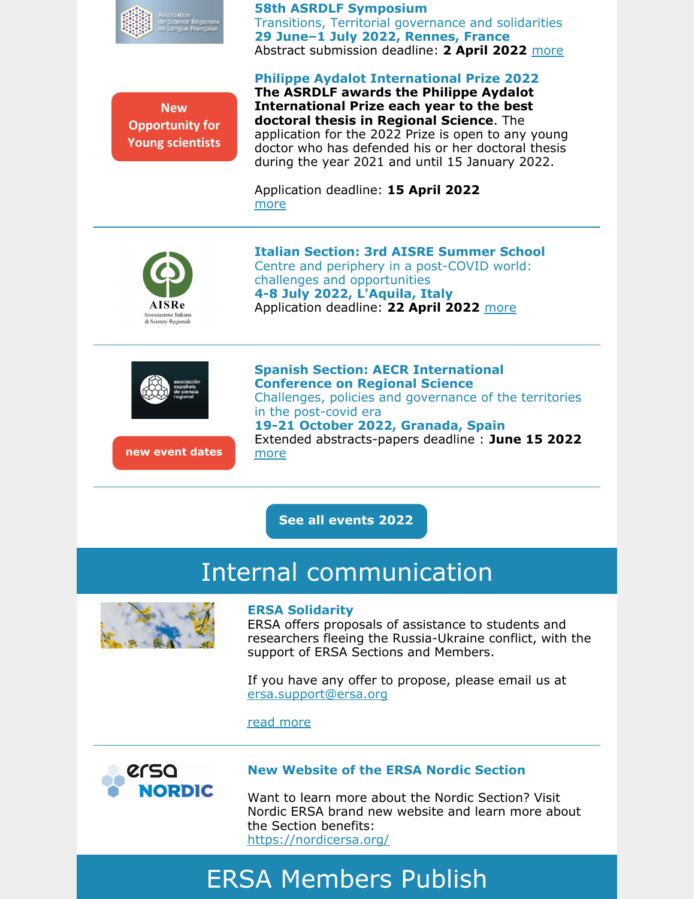

#### **58th ASRDLF Symposium**

Transitions, Territorial governance and solidarities **29 June–1 July 2022, Rennes, France** Abstract submission deadline: **2 April 2022** [more](https://ersa.org/events/french-speaking-section-58th-asrdlf-colloquium/)

#### **Philippe Aydalot International Prize 2022**

**New Opportunity for Young scientists** **The ASRDLF awards the Philippe Aydalot International Prize each year to the best doctoral thesis in Regional Science**. The application for the 2022 Prize is open to any young doctor who has defended his or her doctoral thesis during the year 2021 and until 15 January 2022.

Application deadline: **15 April 2022** [more](https://ersa.org/2022/03/17/philippe-aydalot-international-prize-2022/)



**Italian Section: 3rd AISRE Summer School** Centre and periphery in a post-COVID world: challenges and opportunities **4-8 July 2022, L'Aquila, Italy** Application deadline: **22 April 2022** [more](https://ersa.org/events/italian-section-3rd-aisre-summer-school/)



**new event dates**

**Spanish Section: AECR International Conference on Regional Science** Challenges, policies and governance of the territories in the post-covid era **19-21 October 2022, Granada, Spain** Extended abstracts-papers deadline : **June 15 2022** [more](https://ersa.org/events/spanish-section-xlvii-international-conference-on-regional-science/)

**See all [events](https://ersa.org/upcoming-events/) 2022**

## Internal communication



#### **ERSA Solidarity**

ERSA offers proposals of assistance to students and researchers fleeing the Russia-Ukraine conflict, with the support of ERSA Sections and Members.

If you have any offer to propose, please email us at [ersa.support@ersa.org](mailto:ersa.support@ersa.org)

read [more](https://ersa.org/ersa-solidarity/)



#### **New Website of the ERSA Nordic Section**

Want to learn more about the Nordic Section? Visit Nordic ERSA brand new website and learn more about the Section benefits: <https://nordicersa.org/>

# ERSA Members Publish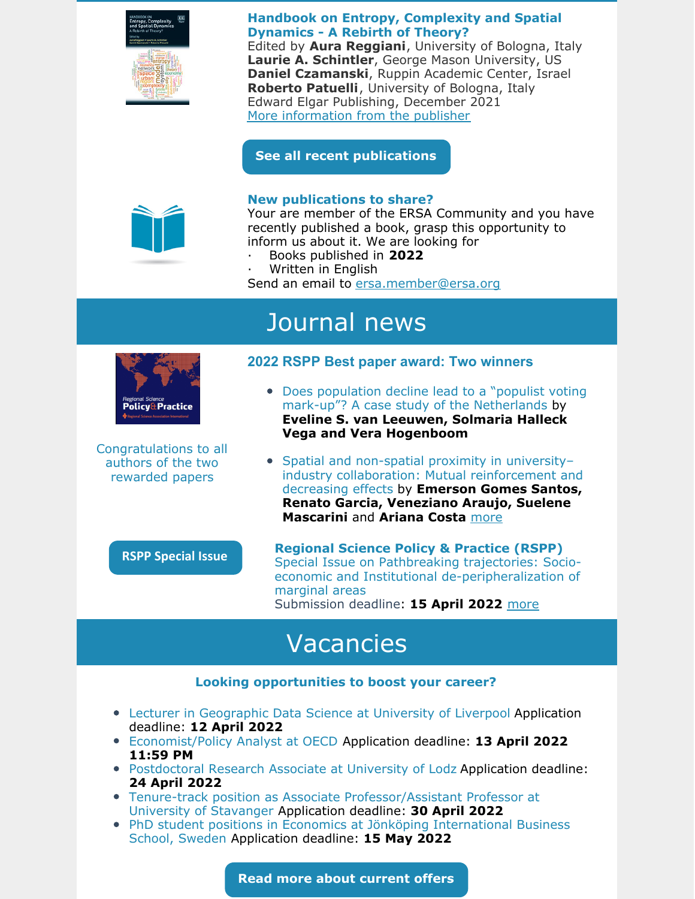

**Handbook on Entropy, Complexity and Spatial Dynamics - A Rebirth of Theory?**

Edited by **Aura Reggiani**, University of Bologna, Italy **Laurie A. Schintler**, George Mason University, US **Daniel Czamanski**, Ruppin Academic Center, Israel **Roberto Patuelli**, University of Bologna, Italy Edward Elgar Publishing, December 2021 More [information](https://www.elgaronline.com/view/edcoll/9781839100581/9781839100581.xml) from the publisher

**See all recent [publications](https://ersa.org/documents-grid/members-publish/)**



#### **New publications to share?**

Your are member of the ERSA Community and you have recently published a book, grasp this opportunity to inform us about it. We are looking for

- · Books published in **2022**
- · Written in English

Send an email to [ersa.member@ersa.org](mailto:ersa.member@ersa.org)

# Journal news



Congratulations to all authors of the two rewarded papers

### **2022 RSPP Best paper award: Two winners**

- Does population decline lead to a "populist voting" mark-up"? A case study of the Netherlands by **Eveline S. van Leeuwen, Solmaria Halleck Vega and Vera Hogenboom**
- Spatial and non-spatial proximity in universityindustry collaboration: Mutual reinforcement and decreasing effects by **Emerson Gomes Santos, Renato Garcia, Veneziano Araujo, Suelene Mascarini** and **Ariana Costa** [more](https://ersa.org/2022/03/15/2022-rspp-best-paper-award/)

### **RSPP Special Issue**

**Regional Science Policy & Practice (RSPP)** Special Issue on Pathbreaking trajectories: Socioeconomic and Institutional de-peripheralization of marginal areas Submission deadline: **15 April 2022** [more](https://ersa.org/calls/calls-for-publications/)

# Vacancies

### **Looking opportunities to boost your career?**

- Lecturer in Geographic Data Science at University of Liverpool Application deadline: **12 April 2022**
- Economist/Policy Analyst at OECD Application deadline: **13 April 2022 11:59 PM**
- Postdoctoral Research Associate at University of Lodz Application deadline: **24 April 2022**
- Tenure-track position as Associate Professor/Assistant Professor at University of Stavanger Application deadline: **30 April 2022**
- PhD student positions in Economics at Jönköping International Business School, Sweden Application deadline: **15 May 2022**

**Read more about [current](https://ersa.org/vacancies/) offers**